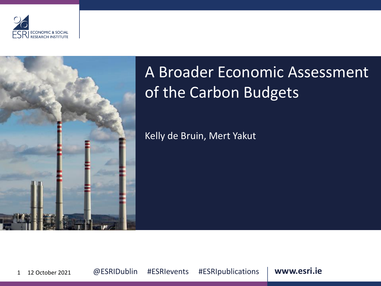



## A Broader Economic Assessment of the Carbon Budgets

Kelly de Bruin, Mert Yakut

1 12 October 2021 **@ ESRIDublin #ESRIevents #ESRIpublications | www.esri.ie**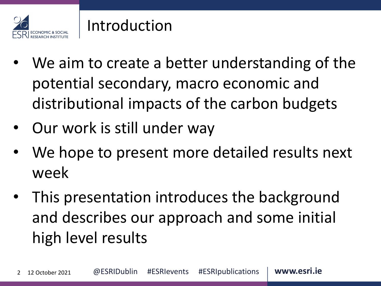

#### Introduction

- We aim to create a better understanding of the potential secondary, macro economic and distributional impacts of the carbon budgets
- Our work is still under way
- We hope to present more detailed results next week
- This presentation introduces the background and describes our approach and some initial high level results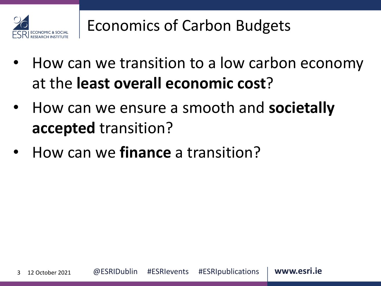

### Economics of Carbon Budgets

- How can we transition to a low carbon economy at the **least overall economic cost**?
- How can we ensure a smooth and **societally accepted** transition?
- How can we **finance** a transition?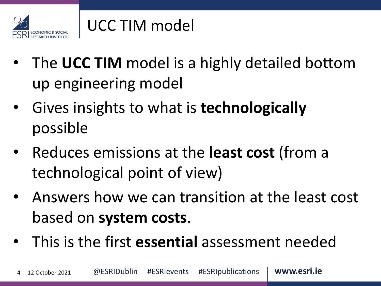

#### UCC TIM model

- The **UCC TIM** model is a highly detailed bottom up engineering model
- Gives insights to what is **technologically**  possible
- Reduces emissions at the **least cost** (from a technological point of view)
- Answers how we can transition at the least cost based on **system costs**.
- This is the first **essential** assessment needed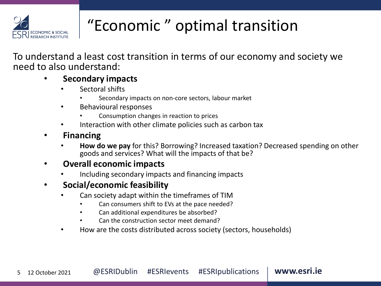

# "Economic " optimal transition

To understand a least cost transition in terms of our economy and society we need to also understand:

#### • **Secondary impacts**

- Sectoral shifts
	- Secondary impacts on non-core sectors, labour market
- Behavioural responses
	- Consumption changes in reaction to prices
- Interaction with other climate policies such as carbon tax
- **Financing**
	- **How do we pay** for this? Borrowing? Increased taxation? Decreased spending on other goods and services? What will the impacts of that be?

#### • **Overall economic impacts**

• Including secondary impacts and financing impacts

#### • **Social/economic feasibility**

- Can society adapt within the timeframes of TIM
	- Can consumers shift to EVs at the pace needed?
	- Can additional expenditures be absorbed?
	- Can the construction sector meet demand?
- How are the costs distributed across society (sectors, households)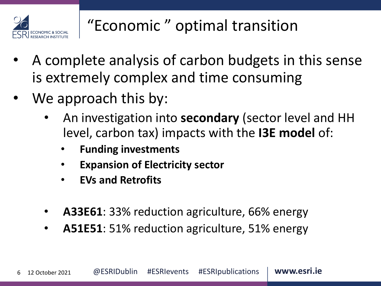

# "Economic " optimal transition

- A complete analysis of carbon budgets in this sense is extremely complex and time consuming
- We approach this by:
	- An investigation into **secondary** (sector level and HH level, carbon tax) impacts with the **I3E model** of:
		- **Funding investments**
		- **Expansion of Electricity sector**
		- **EVs and Retrofits**
	- **A33E61**: 33% reduction agriculture, 66% energy
	- **A51E51**: 51% reduction agriculture, 51% energy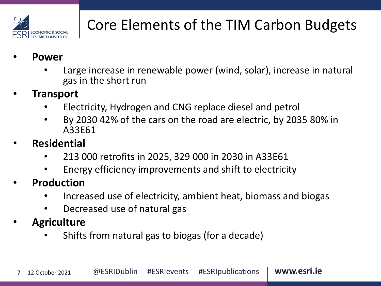

# Core Elements of the TIM Carbon Budgets

- **Power**
	- Large increase in renewable power (wind, solar), increase in natural gas in the short run
- **Transport**
	- Electricity, Hydrogen and CNG replace diesel and petrol
	- By 2030 42% of the cars on the road are electric, by 2035 80% in A33E61
- **Residential**
	- 213 000 retrofits in 2025, 329 000 in 2030 in A33E61
	- Energy efficiency improvements and shift to electricity
- **Production** 
	- Increased use of electricity, ambient heat, biomass and biogas
	- Decreased use of natural gas
- **Agriculture**
	- Shifts from natural gas to biogas (for a decade)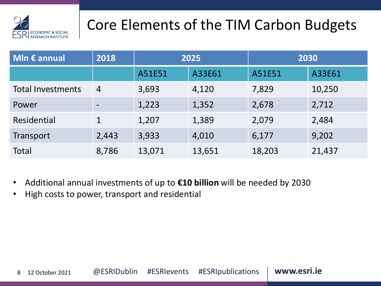

## Core Elements of the TIM Carbon Budgets

| MIn $\epsilon$ annual    | 2018           | 2025   |        | 2030   |        |
|--------------------------|----------------|--------|--------|--------|--------|
|                          |                | A51E51 | A33E61 | A51E51 | A33E61 |
| <b>Total Investments</b> | $\overline{4}$ | 3,693  | 4,120  | 7,829  | 10,250 |
| Power                    |                | 1,223  | 1,352  | 2,678  | 2,712  |
| Residential              | $\mathbf 1$    | 1,207  | 1,389  | 2,079  | 2,484  |
| Transport                | 2,443          | 3,933  | 4,010  | 6,177  | 9,202  |
| <b>Total</b>             | 8,786          | 13,071 | 13,651 | 18,203 | 21,437 |

- Additional annual investments of up to **€10 billion** will be needed by 2030
- High costs to power, transport and residential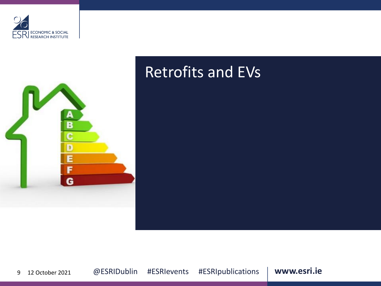



#### Retrofits and EVs

9 12 October 2021 @ ESRIDublin #ESRIevents #ESRIpublications | **www.esri.ie**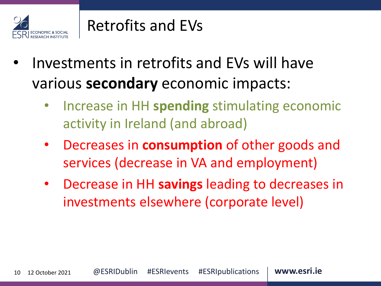

#### Retrofits and EVs

- Investments in retrofits and EVs will have various **secondary** economic impacts:
	- Increase in HH **spending** stimulating economic activity in Ireland (and abroad)
	- Decreases in **consumption** of other goods and services (decrease in VA and employment)
	- Decrease in HH **savings** leading to decreases in investments elsewhere (corporate level)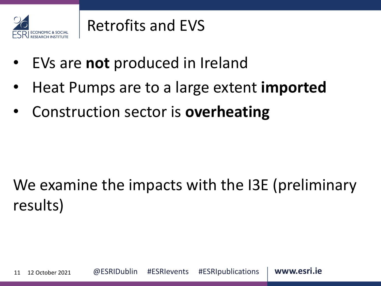

### Retrofits and EVS

- EVs are **not** produced in Ireland
- Heat Pumps are to a large extent **imported**
- Construction sector is **overheating**

# We examine the impacts with the I3E (preliminary results)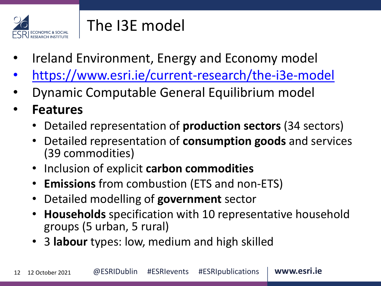

### The I3E model

- Ireland Environment, Energy and Economy model
- <https://www.esri.ie/current-research/the-i3e-model>
- Dynamic Computable General Equilibrium model
- **Features**
	- Detailed representation of **production sectors** (34 sectors)
	- Detailed representation of **consumption goods** and services (39 commodities)
	- Inclusion of explicit **carbon commodities**
	- **Emissions** from combustion (ETS and non-ETS)
	- Detailed modelling of **government** sector
	- **Households** specification with 10 representative household groups (5 urban, 5 rural)
	- 3 **labour** types: low, medium and high skilled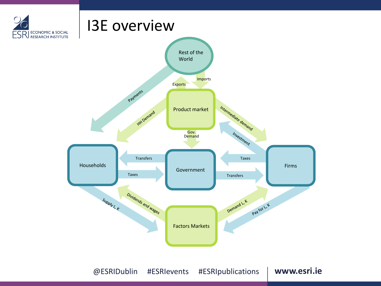

@ ESRIDublin #ESRIevents #ESRIpublications | www.esri.ie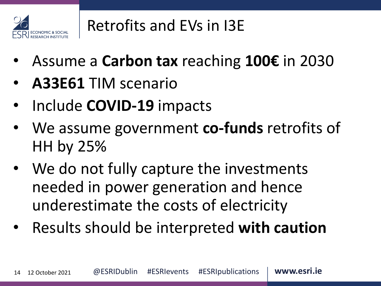

## Retrofits and EVs in I3E

- Assume a **Carbon tax** reaching **100€** in 2030
- **A33E61** TIM scenario
- Include **COVID-19** impacts
- We assume government **co-funds** retrofits of HH by 25%
- We do not fully capture the investments needed in power generation and hence underestimate the costs of electricity
- Results should be interpreted **with caution**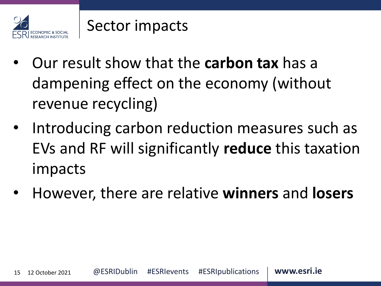

- Our result show that the **carbon tax** has a dampening effect on the economy (without revenue recycling)
- Introducing carbon reduction measures such as EVs and RF will significantly **reduce** this taxation impacts
- However, there are relative **winners** and **losers**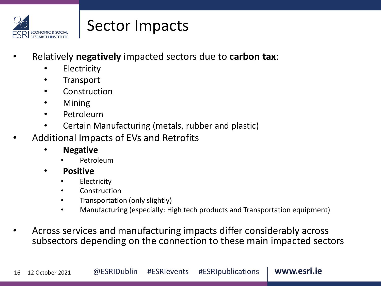

#### Sector Impacts

- Relatively **negatively** impacted sectors due to **carbon tax**:
	- **Electricity**
	- **Transport**
	- **Construction**
	- Mining
	- Petroleum
	- Certain Manufacturing (metals, rubber and plastic)
- Additional Impacts of EVs and Retrofits
	- **Negative**
		- Petroleum
	- **Positive**
		- **Electricity**
		- **Construction**
		- Transportation (only slightly)
		- Manufacturing (especially: High tech products and Transportation equipment)
- Across services and manufacturing impacts differ considerably across subsectors depending on the connection to these main impacted sectors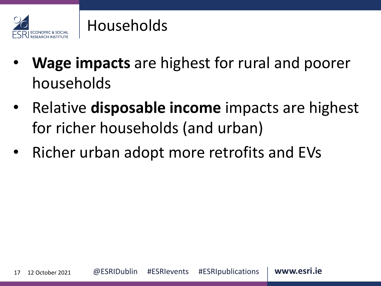

#### Households

- **Wage impacts** are highest for rural and poorer households
- Relative **disposable income** impacts are highest for richer households (and urban)
- Richer urban adopt more retrofits and EVs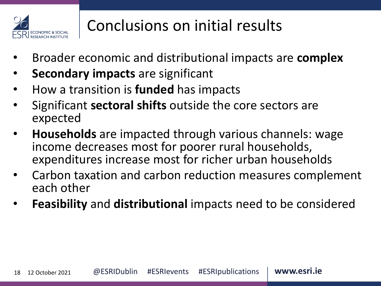

## Conclusions on initial results

- Broader economic and distributional impacts are **complex**
- **Secondary impacts** are significant
- How a transition is **funded** has impacts
- Significant **sectoral shifts** outside the core sectors are expected
- **Households** are impacted through various channels: wage income decreases most for poorer rural households, expenditures increase most for richer urban households
- Carbon taxation and carbon reduction measures complement each other
- **Feasibility** and **distributional** impacts need to be considered